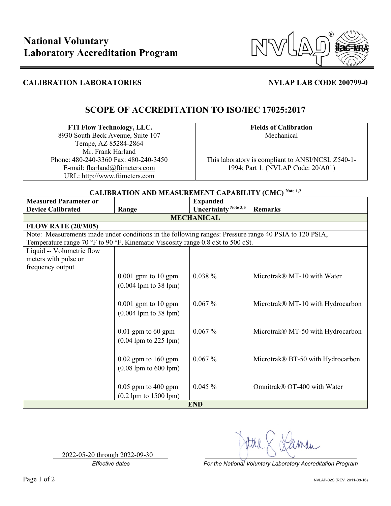

## **CALIBRATION LABORATORIES NVLAP LAB CODE 200799-0**

# **SCOPE OF ACCREDITATION TO ISO/IEC 17025:2017**

### **FTI Flow Technology, LLC.**  8930 South Beck Avenue, Suite 107 Tempe, AZ 85284-2864

Mr. Frank Harland Phone: 480-240-3360 Fax: 480-240-3450 E-mail: fharland@ftimeters.com URL: http://www.ftimeters.com

**Fields of Calibration** Mechanical

This laboratory is compliant to ANSI/NCSL Z540-1- 1994; Part 1. (NVLAP Code: 20/A01)

## **CALIBRATION AND MEASUREMENT CAPABILITY (CMC) Note 1,2 Measured Parameter or Device Calibrated Range Expanded Uncertainty** Note 3,5 **Remarks MECHANICAL FLOW RATE (20/M05)** Note: Measurements made under conditions in the following ranges: Pressure range 40 PSIA to 120 PSIA, Temperature range 70 °F to 90 °F, Kinematic Viscosity range 0.8 cSt to 500 cSt. Liquid -- Volumetric flow meters with pulse or frequency output 0.001 gpm to 10 gpm  $\Big| 0.038 \%$  Microtrak® MT-10 with Water (0.004 lpm to 38 lpm) 0.001 gpm to 10 gpm  $\Big| 0.067 \%$  Microtrak® MT-10 with Hydrocarbon (0.004 lpm to 38 lpm) 0.01 gpm to 60 gpm  $\Big| 0.067 \%$  Microtrak® MT-50 with Hydrocarbon (0.04 lpm to 225 lpm) 0.02 gpm to 160 gpm  $\Big| 0.067 \%$  Microtrak® BT-50 with Hydrocarbon (0.08 lpm to 600 lpm) 0.05 gpm to 400 gpm  $\Big| 0.045 \%$  Omnitrak® OT-400 with Water (0.2 lpm to 1500 lpm) **END**

2022-05-20 through 2022-09-30

*Effective dates For the National Voluntary Laboratory Accreditation Program*